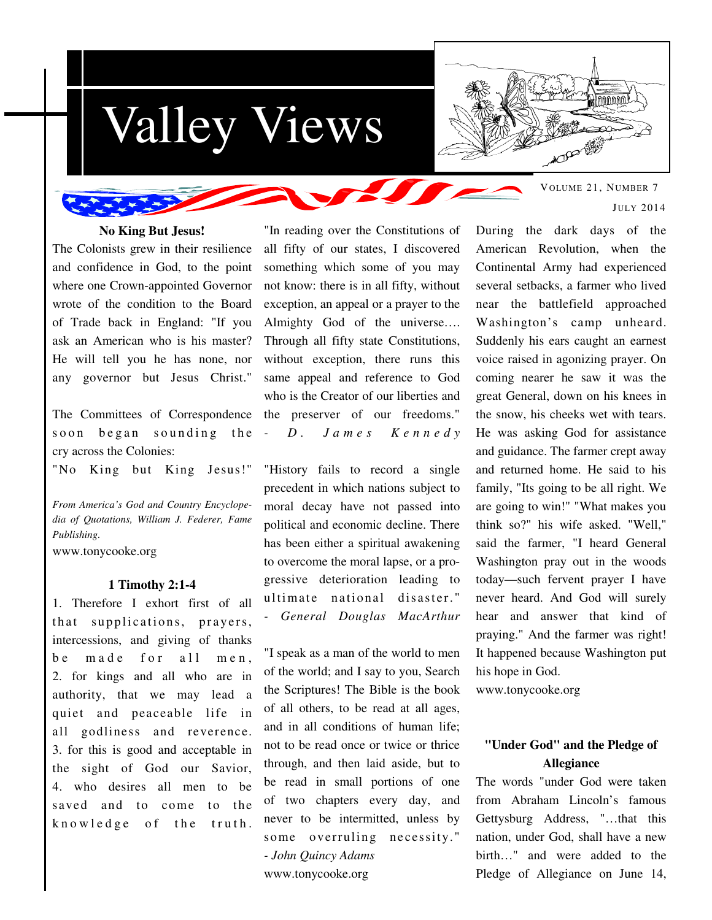



VOLUME 21, NUMBER 7 JULY 2014

### **No King But Jesus!**

The Colonists grew in their resilience and confidence in God, to the point where one Crown-appointed Governor wrote of the condition to the Board of Trade back in England: "If you ask an American who is his master? He will tell you he has none, nor any governor but Jesus Christ."

The Committees of Correspondence soon began sounding the cry across the Colonies:

"No King but King Jesus!"

*From America's God and Country Encyclopedia of Quotations, William J. Federer, Fame Publishing.* 

www.tonycooke.org

#### **1 Timothy 2:1-4**

1. Therefore I exhort first of all that supplications, prayers, intercessions, and giving of thanks be made for all men. 2. for kings and all who are in authority, that we may lead a quiet and peaceable life in all godliness and reverence. 3. for this is good and acceptable in the sight of God our Savior, 4. who desires all men to be saved and to come to the knowledge of the truth.

"In reading over the Constitutions of all fifty of our states, I discovered something which some of you may not know: there is in all fifty, without exception, an appeal or a prayer to the Almighty God of the universe…. Through all fifty state Constitutions, without exception, there runs this same appeal and reference to God who is the Creator of our liberties and the preserver of our freedoms." *- D . J a m e s K e n n e d y*

"History fails to record a single precedent in which nations subject to moral decay have not passed into political and economic decline. There has been either a spiritual awakening to overcome the moral lapse, or a progressive deterioration leading to ultimate national disaster." *- General Douglas MacArthur*

"I speak as a man of the world to men of the world; and I say to you, Search the Scriptures! The Bible is the book of all others, to be read at all ages, and in all conditions of human life; not to be read once or twice or thrice through, and then laid aside, but to be read in small portions of one of two chapters every day, and never to be intermitted, unless by some overruling necessity." *- John Quincy Adams*  www.tonycooke.org

During the dark days of the American Revolution, when the Continental Army had experienced several setbacks, a farmer who lived near the battlefield approached Washington's camp unheard. Suddenly his ears caught an earnest voice raised in agonizing prayer. On coming nearer he saw it was the great General, down on his knees in the snow, his cheeks wet with tears. He was asking God for assistance and guidance. The farmer crept away and returned home. He said to his family, "Its going to be all right. We are going to win!" "What makes you think so?" his wife asked. "Well," said the farmer, "I heard General Washington pray out in the woods today—such fervent prayer I have never heard. And God will surely hear and answer that kind of praying." And the farmer was right! It happened because Washington put his hope in God. www.tonycooke.org

# **"Under God" and the Pledge of Allegiance**

The words "under God were taken from Abraham Lincoln's famous Gettysburg Address, "…that this nation, under God, shall have a new birth…" and were added to the Pledge of Allegiance on June 14,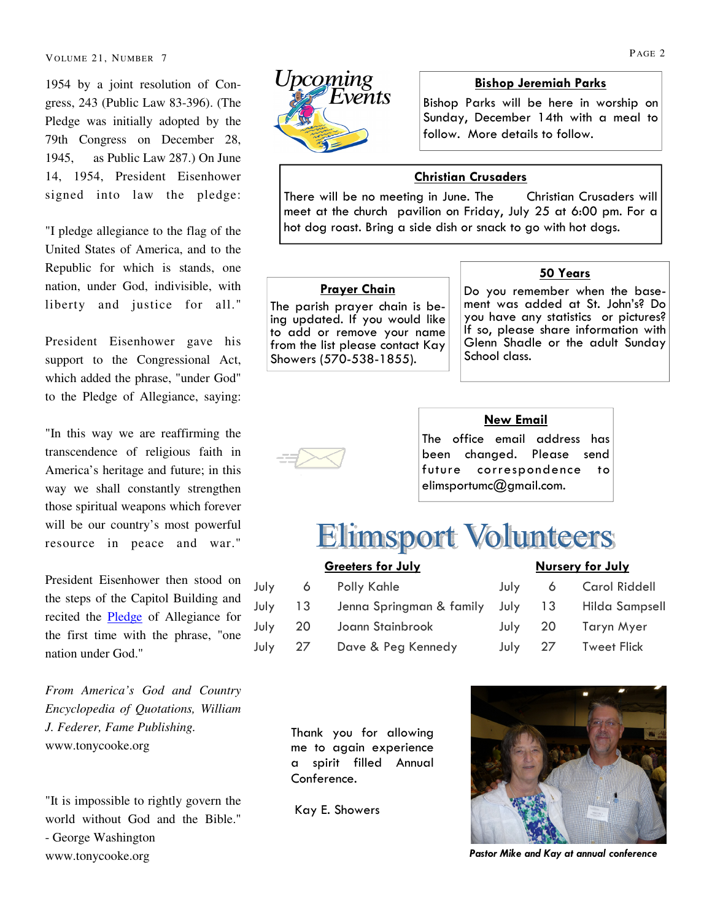VOLUME 21, NUMBER 7 PAGE 2

1954 by a joint resolution of Congress, 243 (Public Law 83-396). (The Pledge was initially adopted by the 79th Congress on December 28, 1945, as Public Law 287.) On June 14, 1954, President Eisenhower signed into law the pledge:

"I pledge allegiance to the flag of the United States of America, and to the Republic for which is stands, one nation, under God, indivisible, with liberty and justice for all."

President Eisenhower gave his support to the Congressional Act, which added the phrase, "under God" to the Pledge of Allegiance, saying:

"In this way we are reaffirming the transcendence of religious faith in America's heritage and future; in this way we shall constantly strengthen those spiritual weapons which forever will be our country's most powerful resource in peace and war."

President Eisenhower then stood on the steps of the Capitol Building and recited the **Pledge** of Allegiance for the first time with the phrase, "one nation under God."

*From America's God and Country Encyclopedia of Quotations, William J. Federer, Fame Publishing.*  www.tonycooke.org

"It is impossible to rightly govern the world without God and the Bible." - George Washington www.tonycooke.org



### Bishop Jeremiah Parks

Bishop Parks will be here in worship on Sunday, December 14th with a meal to follow. More details to follow.

# Christian Crusaders

There will be no meeting in June. The Christian Crusaders will meet at the church pavilion on Friday, July 25 at 6:00 pm. For a hot dog roast. Bring a side dish or snack to go with hot dogs.

### Prayer Chain

The parish prayer chain is being updated. If you would like to add or remove your name from the list please contact Kay Showers (570-538-1855).

### 50 Years

Do you remember when the basement was added at St. John's? Do you have any statistics or pictures? If so, please share information with Glenn Shadle or the adult Sunday School class.



# New Email

The office email address has been changed. Please send future correspondence to elimsportumc@gmail.com.

# **Elimsport Volunteers**

| <b>Greeters for July</b> |           |                                                 | <b>Nursery for July</b> |         |                      |
|--------------------------|-----------|-------------------------------------------------|-------------------------|---------|----------------------|
|                          |           | July 6 Polly Kahle                              |                         |         | July 6 Carol Riddell |
| July                     | $\sim$ 13 | Jenna Springman & family July 13 Hilda Sampsell |                         |         |                      |
| July                     | 20        | Joann Stainbrook                                |                         | July 20 | Taryn Myer           |
| July 27                  |           | Dave & Peg Kennedy                              |                         | July 27 | <b>Tweet Flick</b>   |
|                          |           |                                                 |                         |         |                      |

Thank you for allowing me to again experience a spirit filled Annual Conference.

Kay E. Showers



Pastor Mike and Kay at annual conference